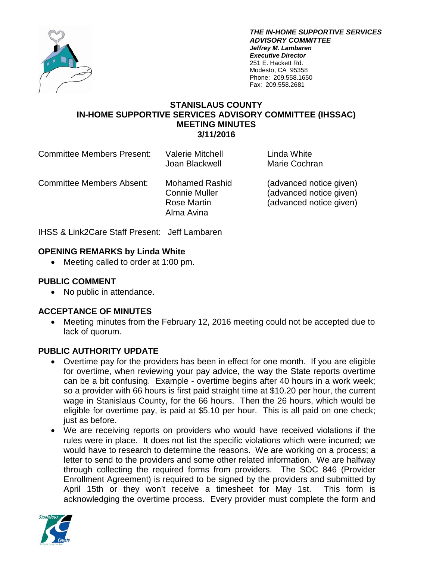

*THE IN-HOME SUPPORTIVE SERVICES ADVISORY COMMITTEE Jeffrey M. Lambaren Executive Director* 251 E. Hackett Rd. Modesto, CA 95358 Phone: 209.558.1650 Fax: 209.558.2681

### **STANISLAUS COUNTY IN-HOME SUPPORTIVE SERVICES ADVISORY COMMITTEE (IHSSAC) MEETING MINUTES 3/11/2016**

| <b>Committee Members Present:</b> | <b>Valerie Mitchell</b><br>Joan Blackwell                                         | Linda White<br>Marie Cochran                                                  |
|-----------------------------------|-----------------------------------------------------------------------------------|-------------------------------------------------------------------------------|
| Committee Members Absent:         | <b>Mohamed Rashid</b><br><b>Connie Muller</b><br><b>Rose Martin</b><br>Alma Avina | (advanced notice given)<br>(advanced notice given)<br>(advanced notice given) |

IHSS & Link2Care Staff Present: Jeff Lambaren

## **OPENING REMARKS by Linda White**

• Meeting called to order at 1:00 pm.

## **PUBLIC COMMENT**

• No public in attendance.

## **ACCEPTANCE OF MINUTES**

• Meeting minutes from the February 12, 2016 meeting could not be accepted due to lack of quorum.

## **PUBLIC AUTHORITY UPDATE**

- Overtime pay for the providers has been in effect for one month. If you are eligible for overtime, when reviewing your pay advice, the way the State reports overtime can be a bit confusing. Example - overtime begins after 40 hours in a work week; so a provider with 66 hours is first paid straight time at \$10.20 per hour, the current wage in Stanislaus County, for the 66 hours. Then the 26 hours, which would be eligible for overtime pay, is paid at \$5.10 per hour. This is all paid on one check; just as before.
- We are receiving reports on providers who would have received violations if the rules were in place. It does not list the specific violations which were incurred; we would have to research to determine the reasons. We are working on a process; a letter to send to the providers and some other related information. We are halfway through collecting the required forms from providers. The SOC 846 (Provider Enrollment Agreement) is required to be signed by the providers and submitted by April 15th or they won't receive a timesheet for May 1st. This form is acknowledging the overtime process. Every provider must complete the form and